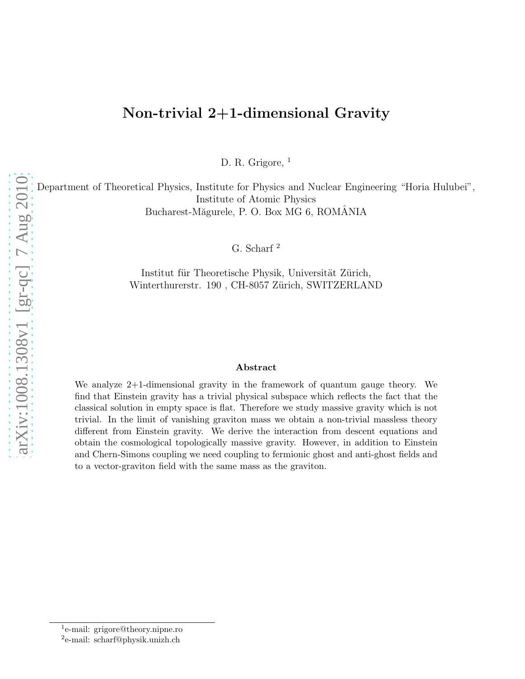# Non-trivial 2+1-dimensional Gravity

D. R. Grigore, <sup>1</sup>

Department of Theoretical Physics, Institute for Physics and Nuclear Engineering "Horia Hulubei", Institute of Atomic Physics Bucharest-Măgurele, P. O. Box MG 6, ROMANIA

G. Scharf <sup>2</sup>

Institut für Theoretische Physik, Universität Zürich, Winterthurerstr. 190, CH-8057 Zürich, SWITZERLAND

#### Abstract

We analyze 2+1-dimensional gravity in the framework of quantum gauge theory. We find that Einstein gravity has a trivial physical subspace which reflects the fact that the classical solution in empty space is flat. Therefore we study massive gravity which is not trivial. In the limit of vanishing graviton mass we obtain a non-trivial massless theory different from Einstein gravity. We derive the interaction from descent equations and obtain the cosmological topologically massive gravity. However, in addition to Einstein and Chern-Simons coupling we need coupling to fermionic ghost and anti-ghost fields and to a vector-graviton field with the same mass as the graviton.

<sup>1</sup> e-mail: grigore@theory.nipne.ro

<sup>2</sup> e-mail: scharf@physik.unizh.ch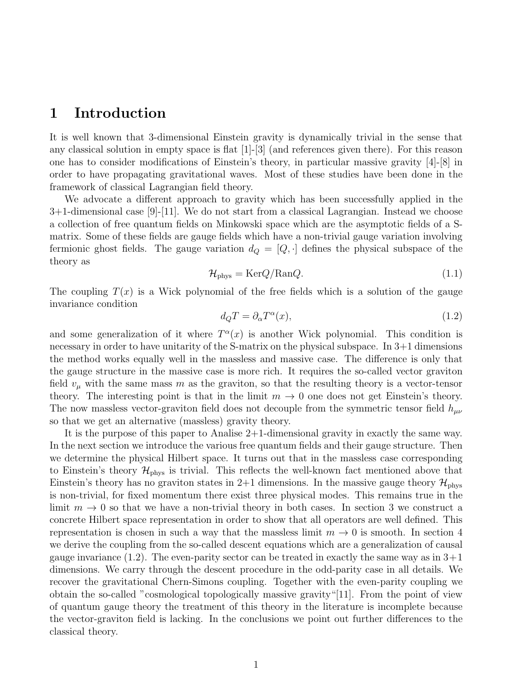#### 1 Introduction

It is well known that 3-dimensional Einstein gravity is dynamically trivial in the sense that any classical solution in empty space is flat  $[1]-[3]$  (and references given there). For this reason one has to consider modifications of Einstein's theory, in particular massive gravity [4]-[8] in order to have propagating gravitational waves. Most of these studies have been done in the framework of classical Lagrangian field theory.

We advocate a different approach to gravity which has been successfully applied in the 3+1-dimensional case [9]-[11]. We do not start from a classical Lagrangian. Instead we choose a collection of free quantum fields on Minkowski space which are the asymptotic fields of a Smatrix. Some of these fields are gauge fields which have a non-trivial gauge variation involving fermionic ghost fields. The gauge variation  $d_Q = [Q, \cdot]$  defines the physical subspace of the theory as

$$
\mathcal{H}_{\text{phys}} = \text{Ker}Q/\text{Ran}Q. \tag{1.1}
$$

The coupling  $T(x)$  is a Wick polynomial of the free fields which is a solution of the gauge invariance condition

$$
d_Q T = \partial_\alpha T^\alpha(x),\tag{1.2}
$$

and some generalization of it where  $T^{\alpha}(x)$  is another Wick polynomial. This condition is necessary in order to have unitarity of the S-matrix on the physical subspace. In 3+1 dimensions the method works equally well in the massless and massive case. The difference is only that the gauge structure in the massive case is more rich. It requires the so-called vector graviton field  $v_{\mu}$  with the same mass m as the graviton, so that the resulting theory is a vector-tensor theory. The interesting point is that in the limit  $m \to 0$  one does not get Einstein's theory. The now massless vector-graviton field does not decouple from the symmetric tensor field  $h_{\mu\nu}$ so that we get an alternative (massless) gravity theory.

It is the purpose of this paper to Analise 2+1-dimensional gravity in exactly the same way. In the next section we introduce the various free quantum fields and their gauge structure. Then we determine the physical Hilbert space. It turns out that in the massless case corresponding to Einstein's theory  $\mathcal{H}_{\text{phys}}$  is trivial. This reflects the well-known fact mentioned above that Einstein's theory has no graviton states in 2+1 dimensions. In the massive gauge theory  $\mathcal{H}_{\text{phys}}$ is non-trivial, for fixed momentum there exist three physical modes. This remains true in the limit  $m \to 0$  so that we have a non-trivial theory in both cases. In section 3 we construct a concrete Hilbert space representation in order to show that all operators are well defined. This representation is chosen in such a way that the massless limit  $m \to 0$  is smooth. In section 4 we derive the coupling from the so-called descent equations which are a generalization of causal gauge invariance  $(1.2)$ . The even-parity sector can be treated in exactly the same way as in  $3+1$ dimensions. We carry through the descent procedure in the odd-parity case in all details. We recover the gravitational Chern-Simons coupling. Together with the even-parity coupling we obtain the so-called "cosmological topologically massive gravity"[11]. From the point of view of quantum gauge theory the treatment of this theory in the literature is incomplete because the vector-graviton field is lacking. In the conclusions we point out further differences to the classical theory.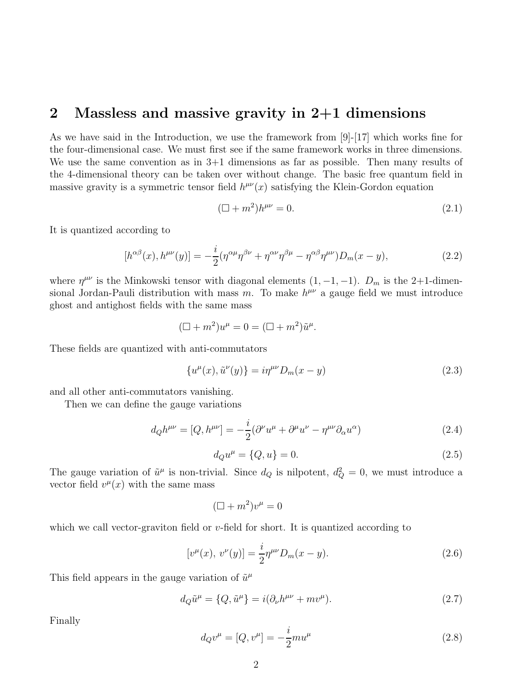#### 2 Massless and massive gravity in 2+1 dimensions

As we have said in the Introduction, we use the framework from [9]-[17] which works fine for the four-dimensional case. We must first see if the same framework works in three dimensions. We use the same convention as in 3+1 dimensions as far as possible. Then many results of the 4-dimensional theory can be taken over without change. The basic free quantum field in massive gravity is a symmetric tensor field  $h^{\mu\nu}(x)$  satisfying the Klein-Gordon equation

$$
(\Box + m^2)h^{\mu\nu} = 0.\tag{2.1}
$$

It is quantized according to

$$
[h^{\alpha\beta}(x), h^{\mu\nu}(y)] = -\frac{i}{2}(\eta^{\alpha\mu}\eta^{\beta\nu} + \eta^{\alpha\nu}\eta^{\beta\mu} - \eta^{\alpha\beta}\eta^{\mu\nu})D_m(x - y), \qquad (2.2)
$$

where  $\eta^{\mu\nu}$  is the Minkowski tensor with diagonal elements  $(1, -1, -1)$ .  $D_m$  is the 2+1-dimensional Jordan-Pauli distribution with mass m. To make  $h^{\mu\nu}$  a gauge field we must introduce ghost and antighost fields with the same mass

$$
(\Box + m^2)u^{\mu} = 0 = (\Box + m^2)\tilde{u}^{\mu}.
$$

These fields are quantized with anti-commutators

$$
\{u^{\mu}(x), \tilde{u}^{\nu}(y)\} = i\eta^{\mu\nu}D_m(x - y)
$$
\n(2.3)

and all other anti-commutators vanishing.

Then we can define the gauge variations

$$
d_{Q}h^{\mu\nu} = [Q, h^{\mu\nu}] = -\frac{i}{2}(\partial^{\nu}u^{\mu} + \partial^{\mu}u^{\nu} - \eta^{\mu\nu}\partial_{\alpha}u^{\alpha})
$$
\n(2.4)

$$
d_{Q}u^{\mu} = \{Q, u\} = 0.
$$
\n(2.5)

The gauge variation of  $\tilde{u}^{\mu}$  is non-trivial. Since  $d_Q$  is nilpotent,  $d_Q^2 = 0$ , we must introduce a vector field  $v^{\mu}(x)$  with the same mass

$$
(\Box + m^2)v^\mu = 0
$$

which we call vector-graviton field or  $v$ -field for short. It is quantized according to

$$
[v^{\mu}(x),\,v^{\nu}(y)] = \frac{i}{2}\eta^{\mu\nu}D_m(x-y). \tag{2.6}
$$

This field appears in the gauge variation of  $\tilde{u}^{\mu}$ 

$$
d_Q \tilde{u}^{\mu} = \{Q, \tilde{u}^{\mu}\} = i(\partial_{\nu}h^{\mu\nu} + mv^{\mu}).
$$
\n(2.7)

Finally

$$
d_{Q}v^{\mu} = [Q, v^{\mu}] = -\frac{i}{2}mu^{\mu}
$$
\n(2.8)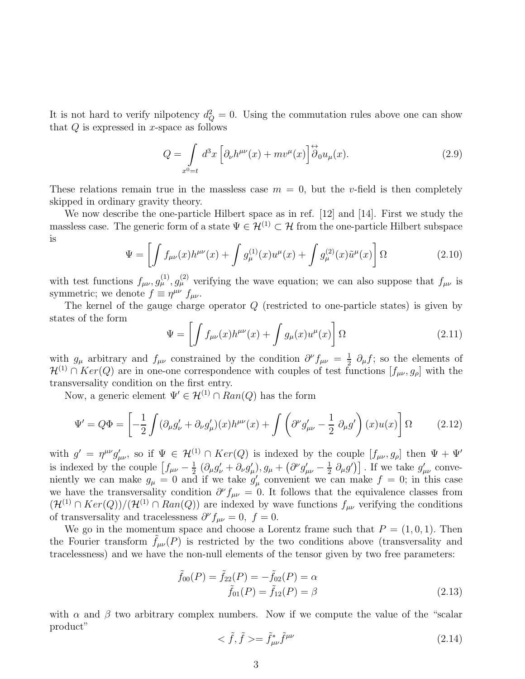It is not hard to verify nilpotency  $d_Q^2 = 0$ . Using the commutation rules above one can show that  $Q$  is expressed in x-space as follows

$$
Q = \int_{x^0 = t} d^3x \left[ \partial_\nu h^{\mu\nu}(x) + m v^\mu(x) \right] \stackrel{\leftrightarrow}{\partial}_0 u_\mu(x). \tag{2.9}
$$

These relations remain true in the massless case  $m = 0$ , but the v-field is then completely skipped in ordinary gravity theory.

We now describe the one-particle Hilbert space as in ref. [12] and [14]. First we study the massless case. The generic form of a state  $\Psi \in \mathcal{H}^{(1)} \subset \mathcal{H}$  from the one-particle Hilbert subspace is

$$
\Psi = \left[ \int f_{\mu\nu}(x) h^{\mu\nu}(x) + \int g_{\mu}^{(1)}(x) u^{\mu}(x) + \int g_{\mu}^{(2)}(x) \tilde{u}^{\mu}(x) \right] \Omega \tag{2.10}
$$

with test functions  $f_{\mu\nu}, g_{\mu}^{(1)}, g_{\mu}^{(2)}$  verifying the wave equation; we can also suppose that  $f_{\mu\nu}$  is symmetric; we denote  $f \equiv \eta^{\mu\nu} f_{\mu\nu}$ .

The kernel of the gauge charge operator Q (restricted to one-particle states) is given by states of the form

$$
\Psi = \left[ \int f_{\mu\nu}(x) h^{\mu\nu}(x) + \int g_{\mu}(x) u^{\mu}(x) \right] \Omega \tag{2.11}
$$

with  $g_{\mu}$  arbitrary and  $f_{\mu\nu}$  constrained by the condition  $\partial^{\nu} f_{\mu\nu} = \frac{1}{2}$  $\frac{1}{2}$   $\partial_{\mu} f$ ; so the elements of  $\mathcal{H}^{(1)} \cap Ker(Q)$  are in one-one correspondence with couples of test functions  $[f_{\mu\nu}, g_{\rho}]$  with the transversality condition on the first entry.

Now, a generic element  $\Psi' \in \mathcal{H}^{(1)} \cap Ran(Q)$  has the form

$$
\Psi' = Q\Phi = \left[ -\frac{1}{2} \int (\partial_{\mu} g'_{\nu} + \partial_{\nu} g'_{\mu})(x) h^{\mu\nu}(x) + \int \left( \partial^{\nu} g'_{\mu\nu} - \frac{1}{2} \partial_{\mu} g' \right)(x) u(x) \right] \Omega \tag{2.12}
$$

with  $g' = \eta^{\mu\nu} g'_{\mu\nu}$ , so if  $\Psi \in \mathcal{H}^{(1)} \cap Ker(Q)$  is indexed by the couple  $[f_{\mu\nu}, g_{\rho}]$  then  $\Psi + \Psi'$ is indexed by the couple  $\left[f_{\mu\nu} - \frac{1}{2}\right]$  $\frac{1}{2}\left(\partial_\mu g'_\nu + \partial_\nu g'_\mu\right)\!\!, g_\mu + \left(\partial^\nu g'_{\mu\nu} - \frac{1}{2}\right)$  $\frac{1}{2} \partial_{\mu}g'$ ). If we take  $g'_{\mu\nu}$  conveniently we can make  $g_{\mu} = 0$  and if we take  $g'_{\mu}$  convenient we can make  $f = 0$ ; in this case we have the transversality condition  $\partial^{\nu} f_{\mu\nu} = 0$ . It follows that the equivalence classes from  $(\mathcal{H}^{(1)} \cap Ker(Q))/(\mathcal{H}^{(1)} \cap Ran(Q))$  are indexed by wave functions  $f_{\mu\nu}$  verifying the conditions of transversality and tracelessness  $\partial^{\nu} f_{\mu\nu} = 0, f = 0.$ 

We go in the momentum space and choose a Lorentz frame such that  $P = (1, 0, 1)$ . Then the Fourier transform  $f_{\mu\nu}(P)$  is restricted by the two conditions above (transversality and tracelessness) and we have the non-null elements of the tensor given by two free parameters:

$$
\tilde{f}_{00}(P) = \tilde{f}_{22}(P) = -\tilde{f}_{02}(P) = \alpha
$$
  
\n
$$
\tilde{f}_{01}(P) = \tilde{f}_{12}(P) = \beta
$$
\n(2.13)

with  $\alpha$  and  $\beta$  two arbitrary complex numbers. Now if we compute the value of the "scalar product"

$$
\langle \tilde{f}, \tilde{f} \rangle = \tilde{f}^*_{\mu\nu} \tilde{f}^{\mu\nu} \tag{2.14}
$$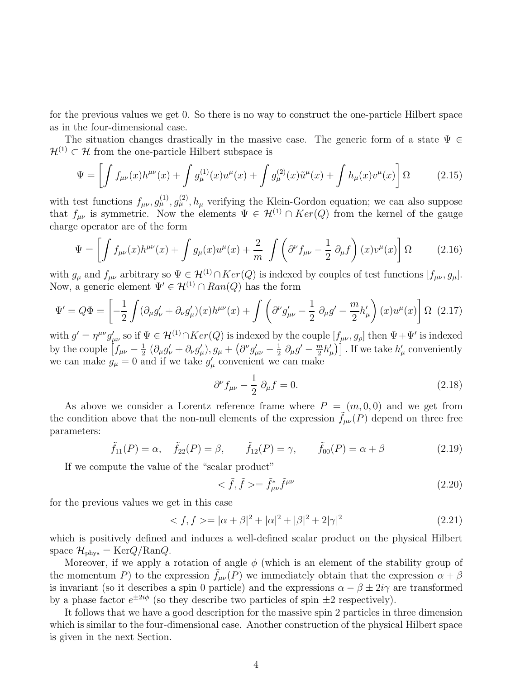for the previous values we get 0. So there is no way to construct the one-particle Hilbert space as in the four-dimensional case.

The situation changes drastically in the massive case. The generic form of a state  $\Psi \in$  $\mathcal{H}^{(1)} \subset \mathcal{H}$  from the one-particle Hilbert subspace is

$$
\Psi = \left[ \int f_{\mu\nu}(x) h^{\mu\nu}(x) + \int g_{\mu}^{(1)}(x) u^{\mu}(x) + \int g_{\mu}^{(2)}(x) \tilde{u}^{\mu}(x) + \int h_{\mu}(x) v^{\mu}(x) \right] \Omega \tag{2.15}
$$

with test functions  $f_{\mu\nu}, g_{\mu}^{(1)}, g_{\mu}^{(2)}, h_{\mu}$  verifying the Klein-Gordon equation; we can also suppose that  $f_{\mu\nu}$  is symmetric. Now the elements  $\Psi \in \mathcal{H}^{(1)} \cap Ker(Q)$  from the kernel of the gauge charge operator are of the form

$$
\Psi = \left[ \int f_{\mu\nu}(x) h^{\mu\nu}(x) + \int g_{\mu}(x) u^{\mu}(x) + \frac{2}{m} \int \left( \partial^{\nu} f_{\mu\nu} - \frac{1}{2} \partial_{\mu} f \right)(x) v^{\mu}(x) \right] \Omega \tag{2.16}
$$

with  $g_{\mu}$  and  $f_{\mu\nu}$  arbitrary so  $\Psi \in \mathcal{H}^{(1)} \cap Ker(Q)$  is indexed by couples of test functions  $[f_{\mu\nu}, g_{\mu}]$ . Now, a generic element  $\Psi' \in \mathcal{H}^{(1)} \cap Ran(Q)$  has the form

$$
\Psi' = Q\Phi = \left[ -\frac{1}{2} \int (\partial_{\mu}g'_{\nu} + \partial_{\nu}g'_{\mu})(x)h^{\mu\nu}(x) + \int \left( \partial^{\nu}g'_{\mu\nu} - \frac{1}{2} \partial_{\mu}g' - \frac{m}{2}h'_{\mu} \right)(x)u^{\mu}(x) \right] \Omega \tag{2.17}
$$

with  $g' = \eta^{\mu\nu} g'_{\mu\nu}$  so if  $\Psi \in \mathcal{H}^{(1)} \cap Ker(Q)$  is indexed by the couple  $[f_{\mu\nu}, g_{\rho}]$  then  $\Psi + \Psi'$  is indexed by the couple  $\left[f_{\mu\nu} - \frac{1}{2}\right]$  $\frac{1}{2}$   $(\partial_\mu g'_\nu + \partial_\nu g'_\mu), g_\mu + (\partial^\nu g'_{\mu\nu} - \frac{1}{2})$  $rac{1}{2}$   $\partial_{\mu}g^{\prime} - \frac{m}{2}$  $\left[\frac{m}{2}h_{\mu}'\right]$ . If we take  $h_{\mu}'$  conveniently we can make  $g_{\mu} = 0$  and if we take  $g'_{\mu}$  convenient we can make

$$
\partial^{\nu} f_{\mu\nu} - \frac{1}{2} \partial_{\mu} f = 0. \qquad (2.18)
$$

As above we consider a Lorentz reference frame where  $P = (m, 0, 0)$  and we get from the condition above that the non-null elements of the expression  $f_{\mu\nu}(P)$  depend on three free parameters:

$$
\tilde{f}_{11}(P) = \alpha, \quad \tilde{f}_{22}(P) = \beta, \qquad \tilde{f}_{12}(P) = \gamma, \qquad \tilde{f}_{00}(P) = \alpha + \beta
$$
\n(2.19)

If we compute the value of the "scalar product"

$$
\langle \tilde{f}, \tilde{f} \rangle = \tilde{f}^*_{\mu\nu} \tilde{f}^{\mu\nu} \tag{2.20}
$$

for the previous values we get in this case

$$
\langle f, f \rangle = |\alpha + \beta|^2 + |\alpha|^2 + |\beta|^2 + 2|\gamma|^2 \tag{2.21}
$$

which is positively defined and induces a well-defined scalar product on the physical Hilbert space  $\mathcal{H}_{\text{phys}} = \text{Ker}Q/\text{Ran}Q$ .

Moreover, if we apply a rotation of angle  $\phi$  (which is an element of the stability group of the momentum P) to the expression  $f_{\mu\nu}(P)$  we immediately obtain that the expression  $\alpha + \beta$ is invariant (so it describes a spin 0 particle) and the expressions  $\alpha - \beta \pm 2i\gamma$  are transformed by a phase factor  $e^{\pm 2i\phi}$  (so they describe two particles of spin  $\pm 2$  respectively).

It follows that we have a good description for the massive spin 2 particles in three dimension which is similar to the four-dimensional case. Another construction of the physical Hilbert space is given in the next Section.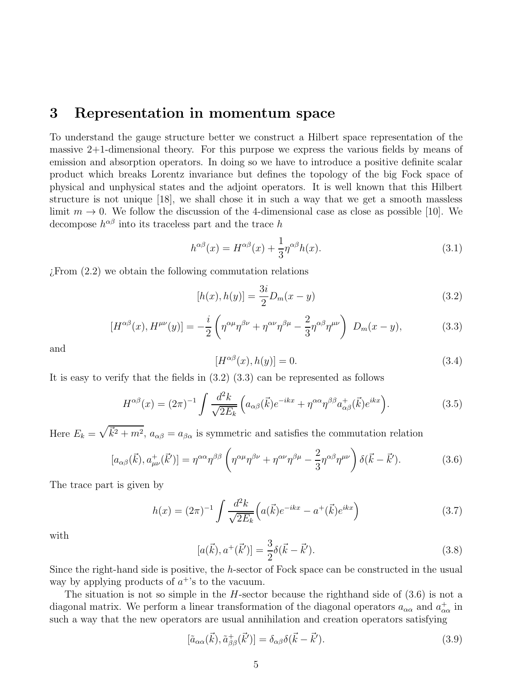### 3 Representation in momentum space

To understand the gauge structure better we construct a Hilbert space representation of the massive 2+1-dimensional theory. For this purpose we express the various fields by means of emission and absorption operators. In doing so we have to introduce a positive definite scalar product which breaks Lorentz invariance but defines the topology of the big Fock space of physical and unphysical states and the adjoint operators. It is well known that this Hilbert structure is not unique [18], we shall chose it in such a way that we get a smooth massless limit  $m \to 0$ . We follow the discussion of the 4-dimensional case as close as possible [10]. We decompose  $h^{\alpha\beta}$  into its traceless part and the trace h

$$
h^{\alpha\beta}(x) = H^{\alpha\beta}(x) + \frac{1}{3}\eta^{\alpha\beta}h(x).
$$
\n(3.1)

¿From (2.2) we obtain the following commutation relations

$$
[h(x), h(y)] = \frac{3i}{2}D_m(x - y)
$$
\n(3.2)

$$
[H^{\alpha\beta}(x), H^{\mu\nu}(y)] = -\frac{i}{2} \left( \eta^{\alpha\mu} \eta^{\beta\nu} + \eta^{\alpha\nu} \eta^{\beta\mu} - \frac{2}{3} \eta^{\alpha\beta} \eta^{\mu\nu} \right) D_m(x - y), \tag{3.3}
$$

and

$$
[H^{\alpha\beta}(x), h(y)] = 0.\t\t(3.4)
$$

It is easy to verify that the fields in (3.2) (3.3) can be represented as follows

$$
H^{\alpha\beta}(x) = (2\pi)^{-1} \int \frac{d^2k}{\sqrt{2E_k}} \left( a_{\alpha\beta}(\vec{k}) e^{-ikx} + \eta^{\alpha\alpha} \eta^{\beta\beta} a_{\alpha\beta}^+(\vec{k}) e^{ikx} \right). \tag{3.5}
$$

Here  $E_k = \sqrt{k^2 + m^2}$ ,  $a_{\alpha\beta} = a_{\beta\alpha}$  is symmetric and satisfies the commutation relation

$$
[a_{\alpha\beta}(\vec{k}), a^+_{\mu\nu}(\vec{k}')] = \eta^{\alpha\alpha}\eta^{\beta\beta}\left(\eta^{\alpha\mu}\eta^{\beta\nu} + \eta^{\alpha\nu}\eta^{\beta\mu} - \frac{2}{3}\eta^{\alpha\beta}\eta^{\mu\nu}\right)\delta(\vec{k} - \vec{k}'). \tag{3.6}
$$

The trace part is given by

$$
h(x) = (2\pi)^{-1} \int \frac{d^2k}{\sqrt{2E_k}} \left( a(\vec{k})e^{-ikx} - a^+(\vec{k})e^{ikx} \right)
$$
 (3.7)

with

$$
[a(\vec{k}), a^{+}(\vec{k}')] = \frac{3}{2}\delta(\vec{k} - \vec{k}'). \tag{3.8}
$$

Since the right-hand side is positive, the h-sector of Fock space can be constructed in the usual way by applying products of  $a^{+}$ 's to the vacuum.

The situation is not so simple in the  $H$ -sector because the righthand side of  $(3.6)$  is not a diagonal matrix. We perform a linear transformation of the diagonal operators  $a_{\alpha\alpha}$  and  $a_{\alpha\alpha}^+$  in such a way that the new operators are usual annihilation and creation operators satisfying

$$
[\tilde{a}_{\alpha\alpha}(\vec{k}), \tilde{a}^+_{\beta\beta}(\vec{k}')] = \delta_{\alpha\beta}\delta(\vec{k} - \vec{k}'). \tag{3.9}
$$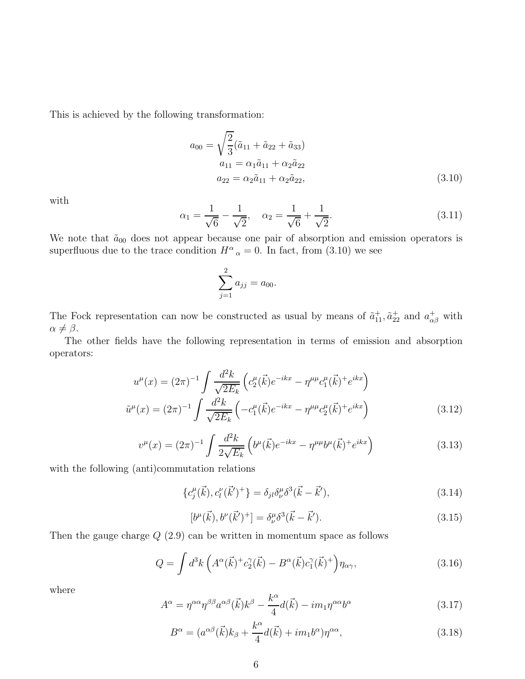This is achieved by the following transformation:

$$
a_{00} = \sqrt{\frac{2}{3}} (\tilde{a}_{11} + \tilde{a}_{22} + \tilde{a}_{33})
$$
  
\n
$$
a_{11} = \alpha_1 \tilde{a}_{11} + \alpha_2 \tilde{a}_{22}
$$
  
\n
$$
a_{22} = \alpha_2 \tilde{a}_{11} + \alpha_2 \tilde{a}_{22},
$$
\n(3.10)

with

$$
\alpha_1 = \frac{1}{\sqrt{6}} - \frac{1}{\sqrt{2}}, \quad \alpha_2 = \frac{1}{\sqrt{6}} + \frac{1}{\sqrt{2}}.
$$
\n(3.11)

We note that  $\tilde{a}_{00}$  does not appear because one pair of absorption and emission operators is superfluous due to the trace condition  $H^{\alpha}{}_{\alpha} = 0$ . In fact, from (3.10) we see

$$
\sum_{j=1}^{2} a_{jj} = a_{00}.
$$

The Fock representation can now be constructed as usual by means of  $\tilde{a}_{11}^+, \tilde{a}_{22}^+$  and  $a_{\alpha\beta}^+$  with  $\alpha \neq \beta$ .

The other fields have the following representation in terms of emission and absorption operators:

$$
u^{\mu}(x) = (2\pi)^{-1} \int \frac{d^2k}{\sqrt{2E_k}} \left( c_2^{\mu}(\vec{k}) e^{-ikx} - \eta^{\mu\mu} c_1^{\mu}(\vec{k})^+ e^{ikx} \right)
$$

$$
\tilde{u}^{\mu}(x) = (2\pi)^{-1} \int \frac{d^2k}{\sqrt{2E_k}} \left( -c_1^{\mu}(\vec{k}) e^{-ikx} - \eta^{\mu\mu} c_2^{\mu}(\vec{k})^+ e^{ikx} \right)
$$
(3.12)

$$
v^{\mu}(x) = (2\pi)^{-1} \int \frac{d^2k}{2\sqrt{E_k}} \left( b^{\mu}(\vec{k})e^{-ikx} - \eta^{\mu\mu}b^{\mu}(\vec{k}) + e^{ikx} \right)
$$
 (3.13)

with the following (anti)commutation relations

$$
\{c_j^{\mu}(\vec{k}), c_l^{\nu}(\vec{k}')^+\} = \delta_{jl}\delta_{\nu}^{\mu}\delta^3(\vec{k} - \vec{k}'),\tag{3.14}
$$

$$
[b^{\mu}(\vec{k}), b^{\nu}(\vec{k}')^+] = \delta^{\mu}_{\nu} \delta^3(\vec{k} - \vec{k}'). \tag{3.15}
$$

Then the gauge charge  $Q(2.9)$  can be written in momentum space as follows

$$
Q = \int d^3k \left( A^\alpha(\vec{k})^+ c_2^\gamma(\vec{k}) - B^\alpha(\vec{k}) c_1^\gamma(\vec{k})^+ \right) \eta_{\alpha\gamma},\tag{3.16}
$$

where

$$
A^{\alpha} = \eta^{\alpha\alpha} \eta^{\beta\beta} a^{\alpha\beta} (\vec{k}) k^{\beta} - \frac{k^{\alpha}}{4} d(\vec{k}) - im_1 \eta^{\alpha\alpha} b^{\alpha}
$$
 (3.17)

$$
B^{\alpha} = (a^{\alpha\beta}(\vec{k})k_{\beta} + \frac{k^{\alpha}}{4}d(\vec{k}) + im_1b^{\alpha})\eta^{\alpha\alpha},
$$
\n(3.18)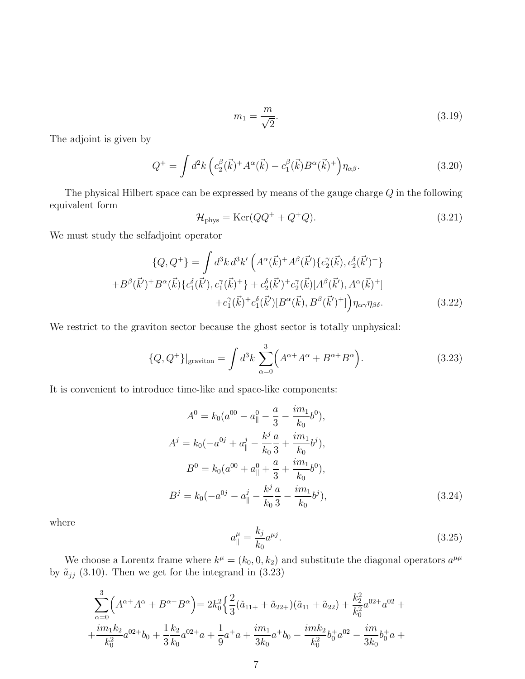$$
m_1 = \frac{m}{\sqrt{2}}.\tag{3.19}
$$

The adjoint is given by

$$
Q^+ = \int d^2k \left( c_2^\beta(\vec{k}) + A^\alpha(\vec{k}) - c_1^\beta(\vec{k}) B^\alpha(\vec{k})^+ \right) \eta_{\alpha\beta}.
$$
 (3.20)

The physical Hilbert space can be expressed by means of the gauge charge Q in the following equivalent form

$$
\mathcal{H}_{\text{phys}} = \text{Ker}(QQ^+ + Q^+Q). \tag{3.21}
$$

We must study the selfadjoint operator

$$
\{Q, Q^{+}\} = \int d^{3}k \, d^{3}k' \left( A^{\alpha}(\vec{k})^{+} A^{\beta}(\vec{k}') \{c_{2}^{\gamma}(\vec{k}), c_{2}^{\delta}(\vec{k}')^{+}\} + B^{\beta}(\vec{k}')^{+} B^{\alpha}(\vec{k}) \{c_{1}^{\delta}(\vec{k}'), c_{1}^{\gamma}(\vec{k})^{+}\} + c_{2}^{\delta}(\vec{k}')^{+} c_{2}^{\gamma}(\vec{k}) [A^{\beta}(\vec{k}'), A^{\alpha}(\vec{k})^{+}] + c_{1}^{\gamma}(\vec{k})^{+} c_{1}^{\delta}(\vec{k}') [B^{\alpha}(\vec{k}), B^{\beta}(\vec{k}')^{+}] \right) \eta_{\alpha\gamma} \eta_{\beta\delta}.
$$
\n(3.22)

We restrict to the graviton sector because the ghost sector is totally unphysical:

$$
\{Q, Q^+\}\vert_{\text{graviton}} = \int d^3k \sum_{\alpha=0}^3 \left( A^{\alpha+} A^{\alpha} + B^{\alpha+} B^{\alpha} \right). \tag{3.23}
$$

It is convenient to introduce time-like and space-like components:

$$
A^{0} = k_{0}(a^{00} - a_{\parallel}^{0} - \frac{a}{3} - \frac{im_{1}}{k_{0}}b^{0}),
$$
  
\n
$$
A^{j} = k_{0}(-a^{0j} + a_{\parallel}^{j} - \frac{k^{j}}{k_{0}}\frac{a}{3} + \frac{im_{1}}{k_{0}}b^{j}),
$$
  
\n
$$
B^{0} = k_{0}(a^{00} + a_{\parallel}^{0} + \frac{a}{3} + \frac{im_{1}}{k_{0}}b^{0}),
$$
  
\n
$$
B^{j} = k_{0}(-a^{0j} - a_{\parallel}^{j} - \frac{k^{j}}{k_{0}}\frac{a}{3} - \frac{im_{1}}{k_{0}}b^{j}),
$$
\n(3.24)

where

$$
a_{\parallel}^{\mu} = \frac{k_j}{k_0} a^{\mu j}.
$$
\n(3.25)

We choose a Lorentz frame where  $k^{\mu} = (k_0, 0, k_2)$  and substitute the diagonal operators  $a^{\mu\mu}$ by  $\tilde{a}_{jj}$  (3.10). Then we get for the integrand in (3.23)

$$
\sum_{\alpha=0}^{3} \left( A^{\alpha+} A^{\alpha} + B^{\alpha+} B^{\alpha} \right) = 2k_0^2 \left\{ \frac{2}{3} (\tilde{a}_{11+} + \tilde{a}_{22+}) (\tilde{a}_{11} + \tilde{a}_{22}) + \frac{k_2^2}{k_0^2} a^{02+} a^{02+} + \frac{im_1 k_2}{k_0^2} a^{02+} b_0 + \frac{1}{3} \frac{k_2}{k_0} a^{02+} a + \frac{1}{9} a^+ a + \frac{im_1}{3k_0} a^+ b_0 - \frac{im_2 k_2}{k_0^2} b_0^+ a^{02-} - \frac{im}{3k_0} b_0^+ a + \frac{im_1}{3k_0} a^{02+} b_0^+ a^{02-} + \frac{im_1 k_2}{k_0^2} b_0^+ a^{02-} + \frac{im_1}{3k_0} b_0^+ a^{02-} + \frac{im_1}{3k_0} b_0^+ a^{02-} + \frac{im_1}{3k_0} b_0^+ a^{02-} + \frac{im_1}{3k_0} b_0^+ a^{02-} + \frac{im_1}{3k_0} b_0^+ a^{02-} + \frac{im_1}{3k_0} b_0^+ a^{02-} + \frac{im_1}{3k_0} b_0^+ a^{02-} + \frac{im_1}{3k_0} b_0^+ a^{02-} + \frac{im_1}{3k_0} b_0^+ a^{02-} + \frac{im_1}{3k_0} b_0^+ a^{02-} + \frac{im_1}{3k_0} b_0^+ a^{02-} + \frac{im_1}{3k_0} b_0^+ a^{02-} + \frac{im_1}{3k_0} b_0^+ a^{02-} + \frac{im_1}{3k_0} b_0^+ a^{02-} + \frac{im_1}{3k_0} b_0^+ a^{02-} + \frac{im_1}{3k_0} b_0^+ a^{02-} + \frac{im_1}{3k_0} b_0^+ a^{02-} + \frac{im_1}{3k_0} b_0^+ a^{02-} + \frac{im_1}{3k_0} b_0^
$$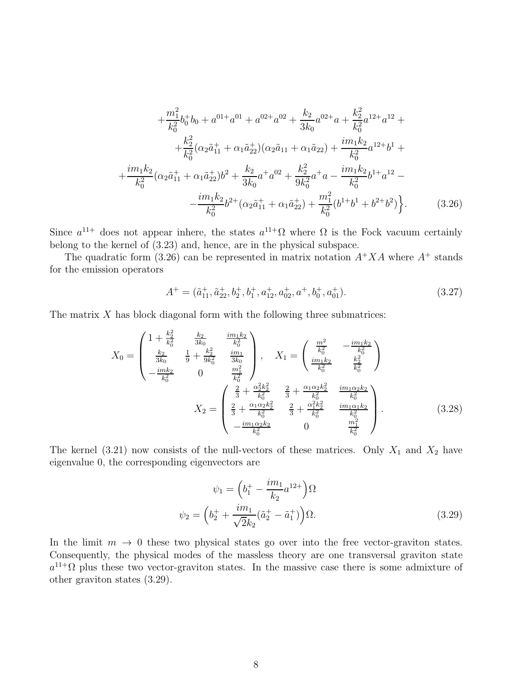$$
+\frac{m_1^2}{k_0^2}b_0^+b_0 + a^{01+}a^{01} + a^{02+}a^{02} + \frac{k_2}{3k_0}a^{02+}a + \frac{k_2^2}{k_0^2}a^{12+}a^{12} ++\frac{k_2^2}{k_0^2}(\alpha_2\tilde{a}_{11}^+ + \alpha_1\tilde{a}_{22}^+)(\alpha_2\tilde{a}_{11} + \alpha_1\tilde{a}_{22}) + \frac{im_1k_2}{k_0^2}a^{12+}b^1 ++\frac{im_1k_2}{k_0^2}(\alpha_2\tilde{a}_{11}^+ + \alpha_1\tilde{a}_{22}^+b^2 + \frac{k_2}{3k_0}a^+a^{02} + \frac{k_2^2}{9k_0^2}a^+a - \frac{im_1k_2}{k_0^2}b^{1+}a^{12} --\frac{im_1k_2}{k_0^2}b^{2+}(\alpha_2\tilde{a}_{11}^+ + \alpha_1\tilde{a}_{22}^+) + \frac{m_1^2}{k_0^2}(b^{1+}b^1 + b^{2+}b^2)\bigg\}.
$$
 (3.26)

Since  $a^{11+}$  does not appear inhere, the states  $a^{11+} \Omega$  where  $\Omega$  is the Fock vacuum certainly belong to the kernel of (3.23) and, hence, are in the physical subspace.

The quadratic form (3.26) can be represented in matrix notation  $A^+XA$  where  $A^+$  stands for the emission operators

$$
A^{+} = (\tilde{a}_{11}^{+}, \tilde{a}_{22}^{+}, b_{2}^{+}, b_{1}^{+}, a_{12}^{+}, a_{02}^{+}, a^{+}, b_{0}^{+}, a_{01}^{+}).
$$
\n(3.27)

The matrix  $X$  has block diagonal form with the following three submatrices:

$$
X_0 = \begin{pmatrix} 1 + \frac{k_2^2}{k_0^2} & \frac{k_2}{3k_0} & \frac{im_1k_2}{k_0^2} \\ \frac{k_2}{3k_0} & \frac{1}{9} + \frac{k_2^2}{9k_0^2} & \frac{im_1}{3k_0} \\ -\frac{imk_2}{k_0^2} & 0 & \frac{m_1^2}{k_0^2} \end{pmatrix}, \quad X_1 = \begin{pmatrix} \frac{m^2}{k_0^2} & -\frac{im_1k_2}{k_0^2} \\ \frac{im_1k_2}{k_0^2} & \frac{k_2^2}{k_0^2} \end{pmatrix}
$$

$$
X_2 = \begin{pmatrix} \frac{2}{3} + \frac{\alpha_2^2 k_2^2}{k_0^2} & \frac{2}{3} + \frac{\alpha_1 \alpha_2 k_2^2}{k_0^2} & \frac{im_1 \alpha_2 k_2}{k_0^2} \\ \frac{2}{3} + \frac{\alpha_1 \alpha_2 k_2^2}{k_0^2} & \frac{2}{3} + \frac{\alpha_1^2 k_2^2}{k_0^2} & \frac{im_1 \alpha_1 k_2}{k_0^2} \\ -\frac{im_1 \alpha_2 k_2}{k_0^2} & 0 & \frac{m_1^2}{k_0^2} \end{pmatrix}.
$$
(3.28)

The kernel (3.21) now consists of the null-vectors of these matrices. Only  $X_1$  and  $X_2$  have eigenvalue 0, the corresponding eigenvectors are

$$
\psi_1 = \left(b_1^+ - \frac{im_1}{k_2}a^{12+}\right)\Omega
$$
  

$$
\psi_2 = \left(b_2^+ + \frac{im_1}{\sqrt{2}k_2}(\tilde{a}_2^+ - \tilde{a}_1^+)\right)\Omega.
$$
 (3.29)

In the limit  $m \to 0$  these two physical states go over into the free vector-graviton states. Consequently, the physical modes of the massless theory are one transversal graviton state  $a^{11}$ <sup>2</sup> plus these two vector-graviton states. In the massive case there is some admixture of other graviton states (3.29).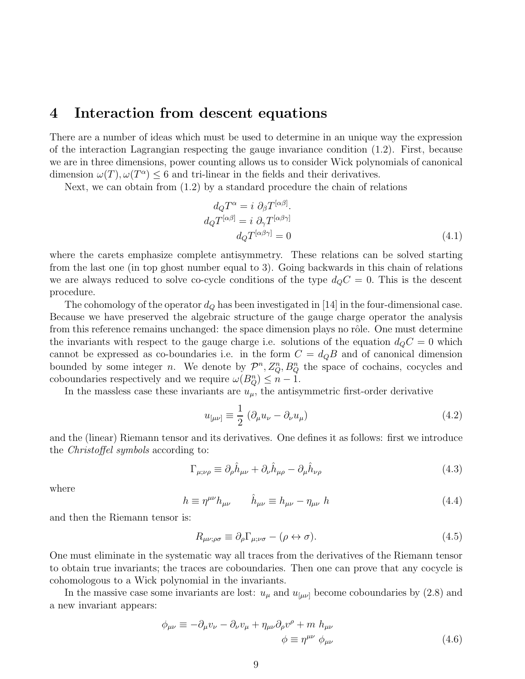### 4 Interaction from descent equations

There are a number of ideas which must be used to determine in an unique way the expression of the interaction Lagrangian respecting the gauge invariance condition (1.2). First, because we are in three dimensions, power counting allows us to consider Wick polynomials of canonical dimension  $\omega(T)$ ,  $\omega(T^{\alpha}) \leq 6$  and tri-linear in the fields and their derivatives.

Next, we can obtain from  $(1.2)$  by a standard procedure the chain of relations

$$
d_Q T^{\alpha} = i \partial_{\beta} T^{[\alpha \beta]}.
$$
  
\n
$$
d_Q T^{[\alpha \beta]} = i \partial_{\gamma} T^{[\alpha \beta \gamma]} \n d_Q T^{[\alpha \beta \gamma]} = 0
$$
\n(4.1)

where the carets emphasize complete antisymmetry. These relations can be solved starting from the last one (in top ghost number equal to 3). Going backwards in this chain of relations we are always reduced to solve co-cycle conditions of the type  $d_{Q}C = 0$ . This is the descent procedure.

The cohomology of the operator  $d_Q$  has been investigated in [14] in the four-dimensional case. Because we have preserved the algebraic structure of the gauge charge operator the analysis from this reference remains unchanged: the space dimension plays no rôle. One must determine the invariants with respect to the gauge charge i.e. solutions of the equation  $d_{Q}C = 0$  which cannot be expressed as co-boundaries i.e. in the form  $C = d_{Q}B$  and of canonical dimension bounded by some integer *n*. We denote by  $\mathcal{P}^n$ ,  $Z_Q^n$ ,  $B_Q^n$  the space of cochains, cocycles and coboundaries respectively and we require  $\omega(B_Q^n) \leq n-1$ .

In the massless case these invariants are  $u_{\mu}$ , the antisymmetric first-order derivative

$$
u_{\left[\mu\nu\right]} \equiv \frac{1}{2} \left( \partial_{\mu} u_{\nu} - \partial_{\nu} u_{\mu} \right) \tag{4.2}
$$

and the (linear) Riemann tensor and its derivatives. One defines it as follows: first we introduce the Christoffel symbols according to:

$$
\Gamma_{\mu;\nu\rho} \equiv \partial_{\rho}\hat{h}_{\mu\nu} + \partial_{\nu}\hat{h}_{\mu\rho} - \partial_{\mu}\hat{h}_{\nu\rho}
$$
\n(4.3)

where

$$
h \equiv \eta^{\mu\nu} h_{\mu\nu} \qquad \hat{h}_{\mu\nu} \equiv h_{\mu\nu} - \eta_{\mu\nu} \; h \tag{4.4}
$$

and then the Riemann tensor is:

$$
R_{\mu\nu;\rho\sigma} \equiv \partial_{\rho} \Gamma_{\mu;\nu\sigma} - (\rho \leftrightarrow \sigma). \tag{4.5}
$$

One must eliminate in the systematic way all traces from the derivatives of the Riemann tensor to obtain true invariants; the traces are coboundaries. Then one can prove that any cocycle is cohomologous to a Wick polynomial in the invariants.

In the massive case some invariants are lost:  $u_{\mu}$  and  $u_{[\mu\nu]}$  become coboundaries by (2.8) and a new invariant appears:

$$
\phi_{\mu\nu} \equiv -\partial_{\mu}v_{\nu} - \partial_{\nu}v_{\mu} + \eta_{\mu\nu}\partial_{\rho}v^{\rho} + m h_{\mu\nu}
$$
\n
$$
\phi \equiv \eta^{\mu\nu} \phi_{\mu\nu}
$$
\n(4.6)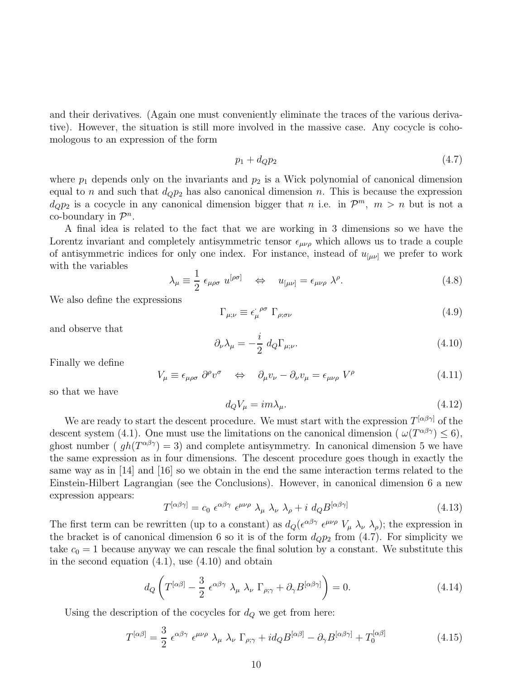and their derivatives. (Again one must conveniently eliminate the traces of the various derivative). However, the situation is still more involved in the massive case. Any cocycle is cohomologous to an expression of the form

$$
p_1 + d_Q p_2 \tag{4.7}
$$

where  $p_1$  depends only on the invariants and  $p_2$  is a Wick polynomial of canonical dimension equal to n and such that  $d_{Q}p_{2}$  has also canonical dimension n. This is because the expression  $d_{Q}p_{2}$  is a cocycle in any canonical dimension bigger that n i.e. in  $\mathcal{P}^{m}$ ,  $m > n$  but is not a  $\text{co-boundary in } \mathcal{P}^n.$ 

A final idea is related to the fact that we are working in 3 dimensions so we have the Lorentz invariant and completely antisymmetric tensor  $\epsilon_{\mu\nu\rho}$  which allows us to trade a couple of antisymmetric indices for only one index. For instance, instead of  $u_{\mu\nu}$  we prefer to work with the variables

$$
\lambda_{\mu} \equiv \frac{1}{2} \epsilon_{\mu\rho\sigma} u^{[\rho\sigma]} \quad \Leftrightarrow \quad u_{[\mu\nu]} = \epsilon_{\mu\nu\rho} \lambda^{\rho}.
$$
 (4.8)

We also define the expressions

$$
\Gamma_{\mu;\nu} \equiv \epsilon_{\mu}^{\ \rho\sigma} \ \Gamma_{\rho;\sigma\nu} \tag{4.9}
$$

and observe that

$$
\partial_{\nu}\lambda_{\mu} = -\frac{i}{2} d_Q \Gamma_{\mu;\nu}.
$$
\n(4.10)

Finally we define

$$
V_{\mu} \equiv \epsilon_{\mu\rho\sigma} \; \partial^{\rho}v^{\sigma} \quad \Leftrightarrow \quad \partial_{\mu}v_{\nu} - \partial_{\nu}v_{\mu} = \epsilon_{\mu\nu\rho} \; V^{\rho} \tag{4.11}
$$

so that we have

$$
d_Q V_\mu = im\lambda_\mu. \tag{4.12}
$$

We are ready to start the descent procedure. We must start with the expression  $T^{[\alpha\beta\gamma]}$  of the descent system (4.1). One must use the limitations on the canonical dimension ( $\omega(T^{\alpha\beta\gamma}) \leq 6$ ), ghost number ( $gh(T^{\alpha\beta\gamma})=3$ ) and complete antisymmetry. In canonical dimension 5 we have the same expression as in four dimensions. The descent procedure goes though in exactly the same way as in [14] and [16] so we obtain in the end the same interaction terms related to the Einstein-Hilbert Lagrangian (see the Conclusions). However, in canonical dimension 6 a new expression appears:

$$
T^{[\alpha\beta\gamma]} = c_0 \epsilon^{\alpha\beta\gamma} \epsilon^{\mu\nu\rho} \lambda_\mu \lambda_\nu \lambda_\rho + i d_Q B^{[\alpha\beta\gamma]}
$$
(4.13)

The first term can be rewritten (up to a constant) as  $d_Q(\epsilon^{\alpha\beta\gamma} \epsilon^{\mu\nu\rho} V_\mu \lambda_\nu \lambda_\rho)$ ; the expression in the bracket is of canonical dimension 6 so it is of the form  $d_{Q}p_{2}$  from (4.7). For simplicity we take  $c_0 = 1$  because anyway we can rescale the final solution by a constant. We substitute this in the second equation  $(4.1)$ , use  $(4.10)$  and obtain

$$
d_Q \left( T^{[\alpha\beta]} - \frac{3}{2} \epsilon^{\alpha\beta\gamma} \lambda_\mu \lambda_\nu \Gamma_{\rho;\gamma} + \partial_\gamma B^{[\alpha\beta\gamma]} \right) = 0. \tag{4.14}
$$

Using the description of the cocycles for  $d_Q$  we get from here:

$$
T^{[\alpha\beta]} = \frac{3}{2} \epsilon^{\alpha\beta\gamma} \epsilon^{\mu\nu\rho} \lambda_{\mu} \lambda_{\nu} \Gamma_{\rho;\gamma} + id_{Q} B^{[\alpha\beta]} - \partial_{\gamma} B^{[\alpha\beta\gamma]} + T_{0}^{[\alpha\beta]}
$$
(4.15)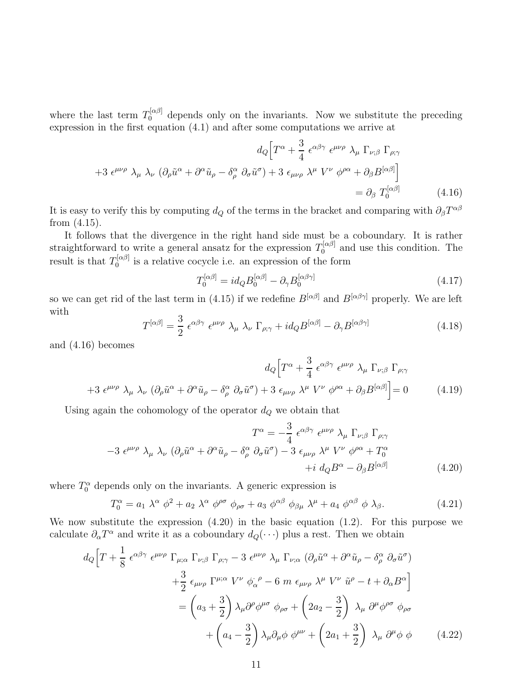where the last term  $T_0^{[\alpha\beta]}$  depends only on the invariants. Now we substitute the preceding expression in the first equation (4.1) and after some computations we arrive at

$$
d_Q \Big[ T^{\alpha} + \frac{3}{4} \epsilon^{\alpha \beta \gamma} \epsilon^{\mu \nu \rho} \lambda_{\mu} \Gamma_{\nu; \beta} \Gamma_{\rho; \gamma} + 3 \epsilon^{\mu \nu \rho} \lambda_{\mu} \lambda_{\nu} \left( \partial_{\rho} \tilde{u}^{\alpha} + \partial^{\alpha} \tilde{u}_{\rho} - \delta^{\alpha}_{\rho} \partial_{\sigma} \tilde{u}^{\sigma} \right) + 3 \epsilon_{\mu \nu \rho} \lambda^{\mu} V^{\nu} \phi^{\rho \alpha} + \partial_{\beta} B^{[\alpha \beta]} \Big] = \partial_{\beta} T_0^{[\alpha \beta]} \tag{4.16}
$$

It is easy to verify this by computing  $d_Q$  of the terms in the bracket and comparing with  $\partial_{\beta}T^{\alpha\beta}$ from (4.15).

It follows that the divergence in the right hand side must be a coboundary. It is rather straightforward to write a general ansatz for the expression  $T_0^{[\alpha\beta]}$  and use this condition. The result is that  $T_0^{[\alpha\beta]}$  $\int_0^{\pi(P)}$  is a relative cocycle i.e. an expression of the form

$$
T_0^{[\alpha\beta]} = id_Q B_0^{[\alpha\beta]} - \partial_\gamma B_0^{[\alpha\beta\gamma]}
$$
\n(4.17)

so we can get rid of the last term in (4.15) if we redefine  $B^{[\alpha\beta]}$  and  $B^{[\alpha\beta\gamma]}$  properly. We are left with

$$
T^{[\alpha\beta]} = \frac{3}{2} \epsilon^{\alpha\beta\gamma} \epsilon^{\mu\nu\rho} \lambda_{\mu} \lambda_{\nu} \Gamma_{\rho;\gamma} + id_{Q} B^{[\alpha\beta]} - \partial_{\gamma} B^{[\alpha\beta\gamma]} \tag{4.18}
$$

and (4.16) becomes

$$
d_Q \Big[ T^{\alpha} + \frac{3}{4} \epsilon^{\alpha \beta \gamma} \epsilon^{\mu \nu \rho} \lambda_{\mu} \Gamma_{\nu; \beta} \Gamma_{\rho; \gamma} + 3 \epsilon^{\mu \nu \rho} \lambda_{\mu} \lambda_{\nu} \left( \partial_{\rho} \tilde{u}^{\alpha} + \partial^{\alpha} \tilde{u}_{\rho} - \delta^{\alpha}_{\rho} \partial_{\sigma} \tilde{u}^{\sigma} \right) + 3 \epsilon_{\mu \nu \rho} \lambda^{\mu} V^{\nu} \phi^{\rho \alpha} + \partial_{\beta} B^{[\alpha \beta]} \Big] = 0 \tag{4.19}
$$

Using again the cohomology of the operator  $d_Q$  we obtain that

$$
T^{\alpha} = -\frac{3}{4} \epsilon^{\alpha\beta\gamma} \epsilon^{\mu\nu\rho} \lambda_{\mu} \Gamma_{\nu;\beta} \Gamma_{\rho;\gamma}
$$

$$
-3 \epsilon^{\mu\nu\rho} \lambda_{\mu} \lambda_{\nu} (\partial_{\rho}\tilde{u}^{\alpha} + \partial^{\alpha}\tilde{u}_{\rho} - \delta^{\alpha}_{\rho} \partial_{\sigma}\tilde{u}^{\sigma}) - 3 \epsilon_{\mu\nu\rho} \lambda^{\mu} V^{\nu} \phi^{\rho\alpha} + T^{\alpha}_{0}
$$

$$
+ i d_{Q}B^{\alpha} - \partial_{\beta}B^{[\alpha\beta]}
$$
(4.20)

where  $T_0^{\alpha}$  depends only on the invariants. A generic expression is

$$
T_0^{\alpha} = a_1 \lambda^{\alpha} \phi^2 + a_2 \lambda^{\alpha} \phi^{\rho \sigma} \phi_{\rho \sigma} + a_3 \phi^{\alpha \beta} \phi_{\beta \mu} \lambda^{\mu} + a_4 \phi^{\alpha \beta} \phi \lambda_{\beta}.
$$
 (4.21)

We now substitute the expression  $(4.20)$  in the basic equation  $(1.2)$ . For this purpose we calculate  $\partial_{\alpha}T^{\alpha}$  and write it as a coboundary  $d_Q(\cdot \cdot \cdot)$  plus a rest. Then we obtain

$$
d_Q \Big[ T + \frac{1}{8} \epsilon^{\alpha \beta \gamma} \epsilon^{\mu \nu \rho} \Gamma_{\mu; \alpha} \Gamma_{\nu; \beta} \Gamma_{\rho; \gamma} - 3 \epsilon^{\mu \nu \rho} \lambda_{\mu} \Gamma_{\nu; \alpha} (\partial_{\rho} \tilde{u}^{\alpha} + \partial^{\alpha} \tilde{u}_{\rho} - \delta^{\alpha}_{\rho} \partial_{\sigma} \tilde{u}^{\sigma})
$$
  
+ 
$$
\frac{3}{2} \epsilon_{\mu \nu \rho} \Gamma^{\mu; \alpha} V^{\nu} \phi_{\alpha}^{\ \rho} - 6 \, m \, \epsilon_{\mu \nu \rho} \lambda^{\mu} V^{\nu} \tilde{u}^{\rho} - t + \partial_{\alpha} B^{\alpha} \Big]
$$
  
= 
$$
\left( a_3 + \frac{3}{2} \right) \lambda_{\mu} \partial^{\rho} \phi^{\mu \sigma} \phi_{\rho \sigma} + \left( 2a_2 - \frac{3}{2} \right) \lambda_{\mu} \partial^{\mu} \phi^{\rho \sigma} \phi_{\rho \sigma}
$$
  
+ 
$$
\left( a_4 - \frac{3}{2} \right) \lambda_{\mu} \partial_{\mu} \phi \phi^{\mu \nu} + \left( 2a_1 + \frac{3}{2} \right) \lambda_{\mu} \partial^{\mu} \phi \phi \qquad (4.22)
$$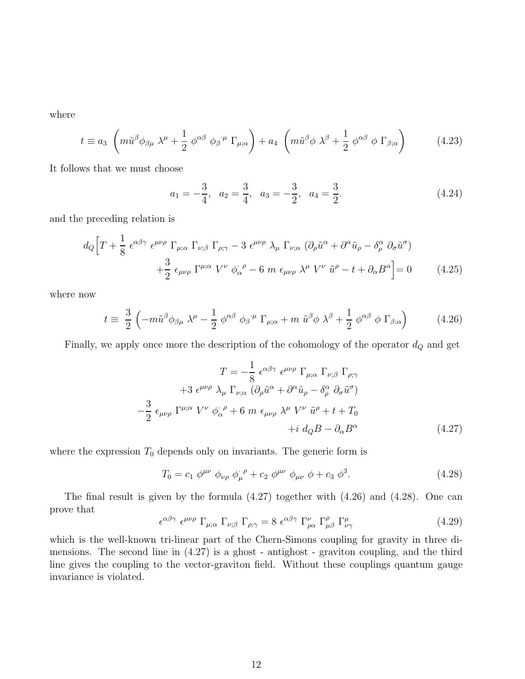where

$$
t \equiv a_3 \left( m \tilde{u}^\beta \phi_{\beta \mu} \lambda^\mu + \frac{1}{2} \phi^{\alpha \beta} \phi_{\beta}^{\ \mu} \Gamma_{\mu; \alpha} \right) + a_4 \left( m \tilde{u}^\beta \phi \lambda^\beta + \frac{1}{2} \phi^{\alpha \beta} \phi \Gamma_{\beta; \alpha} \right) \tag{4.23}
$$

It follows that we must choose

$$
a_1 = -\frac{3}{4}, \quad a_2 = \frac{3}{4}, \quad a_3 = -\frac{3}{2}, \quad a_4 = \frac{3}{2}.
$$
 (4.24)

and the preceding relation is

$$
d_{Q}\left[T + \frac{1}{8} \epsilon^{\alpha\beta\gamma} \epsilon^{\mu\nu\rho} \Gamma_{\mu;\alpha} \Gamma_{\nu;\beta} \Gamma_{\rho;\gamma} - 3 \epsilon^{\mu\nu\rho} \lambda_{\mu} \Gamma_{\nu;\alpha} (\partial_{\rho}\tilde{u}^{\alpha} + \partial^{\alpha}\tilde{u}_{\rho} - \delta^{\alpha}_{\rho} \partial_{\sigma}\tilde{u}^{\sigma}) + \frac{3}{2} \epsilon_{\mu\nu\rho} \Gamma^{\mu;\alpha} V^{\nu} \phi^{\cdot \rho}_{\alpha} - 6 m \epsilon_{\mu\nu\rho} \lambda^{\mu} V^{\nu} \tilde{u}^{\rho} - t + \partial_{\alpha}B^{\alpha}\right] = 0 \qquad (4.25)
$$

where now

$$
t \equiv \frac{3}{2} \left( -m \tilde{u}^{\beta} \phi_{\beta \mu} \lambda^{\mu} - \frac{1}{2} \phi^{\alpha \beta} \phi_{\beta}{}^{\mu} \Gamma_{\mu; \alpha} + m \tilde{u}^{\beta} \phi \lambda^{\beta} + \frac{1}{2} \phi^{\alpha \beta} \phi \Gamma_{\beta; \alpha} \right)
$$
(4.26)

Finally, we apply once more the description of the cohomology of the operator  $d_Q$  and get

$$
T = -\frac{1}{8} \epsilon^{\alpha\beta\gamma} \epsilon^{\mu\nu\rho} \Gamma_{\mu;\alpha} \Gamma_{\nu;\beta} \Gamma_{\rho;\gamma}
$$
  
+3  $\epsilon^{\mu\nu\rho} \lambda_{\mu} \Gamma_{\nu;\alpha} (\partial_{\rho} \tilde{u}^{\alpha} + \partial^{\alpha} \tilde{u}_{\rho} - \delta^{\alpha}_{\rho} \partial_{\sigma} \tilde{u}^{\sigma})$   

$$
-\frac{3}{2} \epsilon_{\mu\nu\rho} \Gamma^{\mu;\alpha} V^{\nu} \phi_{\alpha}^{\ \rho} + 6 \ m \epsilon_{\mu\nu\rho} \lambda^{\mu} V^{\nu} \tilde{u}^{\rho} + t + T_0
$$
  
+ $i d_{Q}B - \partial_{\alpha}B^{\alpha}$  (4.27)

where the expression  $T_0$  depends only on invariants. The generic form is

$$
T_0 = c_1 \; \phi^{\mu\nu} \; \phi_{\nu\rho} \; \phi_{\mu}^{\ \rho} + c_2 \; \phi^{\mu\nu} \; \phi_{\mu\nu} \; \phi + c_3 \; \phi^3. \tag{4.28}
$$

The final result is given by the formula (4.27) together with (4.26) and (4.28). One can prove that

$$
\epsilon^{\alpha\beta\gamma} \epsilon^{\mu\nu\rho} \Gamma_{\mu;\alpha} \Gamma_{\nu;\beta} \Gamma_{\rho;\gamma} = 8 \epsilon^{\alpha\beta\gamma} \Gamma^{\nu}_{\rho\alpha} \Gamma^{\rho}_{\mu\beta} \Gamma^{\mu}_{\nu\gamma}
$$
(4.29)

which is the well-known tri-linear part of the Chern-Simons coupling for gravity in three dimensions. The second line in (4.27) is a ghost - antighost - graviton coupling, and the third line gives the coupling to the vector-graviton field. Without these couplings quantum gauge invariance is violated.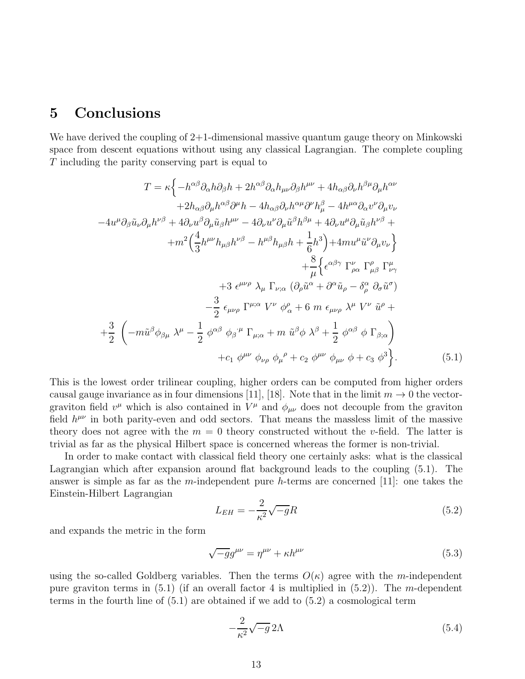## 5 Conclusions

We have derived the coupling of 2+1-dimensional massive quantum gauge theory on Minkowski space from descent equations without using any classical Lagrangian. The complete coupling T including the parity conserving part is equal to

$$
T = \kappa \Biggl\{ -h^{\alpha\beta} \partial_{\alpha} h \partial_{\beta} h + 2h^{\alpha\beta} \partial_{\alpha} h_{\mu\nu} \partial_{\beta} h^{\mu\nu} + 4h_{\alpha\beta} \partial_{\nu} h^{\beta\mu} \partial_{\mu} h^{\alpha\nu} + 2h_{\alpha\beta} \partial_{\mu} h^{\alpha\beta} \partial^{\mu} h - 4h_{\alpha\beta} \partial_{\nu} h^{\alpha\mu} \partial^{\nu} h^{\beta}_{\mu} - 4h^{\mu\alpha} \partial_{\alpha} v^{\nu} \partial_{\mu} v_{\nu} - 4u^{\mu} \partial_{\beta} \tilde{u}_{\nu} \partial_{\mu} h^{\nu\beta} + 4 \partial_{\nu} u^{\beta} \partial_{\mu} \tilde{u}_{\beta} h^{\mu\nu} - 4 \partial_{\nu} u^{\nu} \partial_{\mu} \tilde{u}^{\beta} h^{\beta\mu} + 4 \partial_{\nu} u^{\mu} \partial_{\mu} \tilde{u}_{\beta} h^{\nu\beta} + + m^2 \Biggl( \frac{4}{3} h^{\mu\nu} h_{\mu\beta} h^{\nu\beta} - h^{\mu\beta} h_{\mu\beta} h + \frac{1}{6} h^3 \Biggr) + 4m u^{\mu} \tilde{u}^{\nu} \partial_{\mu} v_{\nu} \Biggr\} + \frac{8}{\mu} \Biggl\{ \epsilon^{\alpha\beta\gamma} \Gamma_{\nu\alpha}^{\nu} \Gamma_{\rho\alpha}^{\rho} \Gamma_{\nu\gamma}^{\mu} + 3 \epsilon^{\mu\nu\rho} \lambda_{\mu} \Gamma_{\nu;\alpha} (\partial_{\rho} \tilde{u}^{\alpha} + \partial^{\alpha} \tilde{u}_{\rho} - \delta^{\alpha}_{\rho} \partial_{\sigma} \tilde{u}^{\sigma}) - \frac{3}{2} \epsilon_{\mu\nu\rho} \Gamma^{\mu;\alpha} V^{\nu} \phi^{\rho}_{\alpha} + 6 m \epsilon_{\mu\nu\rho} \lambda^{\mu} V^{\nu} \tilde{u}^{\rho} + + \frac{3}{2} \Biggl( -m \tilde{u}^{\beta} \phi_{\beta\mu} \lambda^{\mu} - \frac{1}{2} \phi^{\alpha\beta} \phi_{\beta}^{\mu} \Gamma_{\mu;\alpha} +
$$

This is the lowest order trilinear coupling, higher orders can be computed from higher orders causal gauge invariance as in four dimensions [11], [18]. Note that in the limit  $m \to 0$  the vectorgraviton field  $v^{\mu}$  which is also contained in  $V^{\mu}$  and  $\phi_{\mu\nu}$  does not decouple from the graviton field  $h^{\mu\nu}$  in both parity-even and odd sectors. That means the massless limit of the massive theory does not agree with the  $m = 0$  theory constructed without the v-field. The latter is trivial as far as the physical Hilbert space is concerned whereas the former is non-trivial.

In order to make contact with classical field theory one certainly asks: what is the classical Lagrangian which after expansion around flat background leads to the coupling (5.1). The answer is simple as far as the m-independent pure h-terms are concerned [11]: one takes the Einstein-Hilbert Lagrangian

$$
L_{EH} = -\frac{2}{\kappa^2} \sqrt{-g} R\tag{5.2}
$$

and expands the metric in the form

$$
\sqrt{-g}g^{\mu\nu} = \eta^{\mu\nu} + \kappa h^{\mu\nu} \tag{5.3}
$$

using the so-called Goldberg variables. Then the terms  $O(\kappa)$  agree with the m-independent pure graviton terms in  $(5.1)$  (if an overall factor 4 is multiplied in  $(5.2)$ ). The m-dependent terms in the fourth line of (5.1) are obtained if we add to (5.2) a cosmological term

$$
-\frac{2}{\kappa^2}\sqrt{-g}\,2\Lambda\tag{5.4}
$$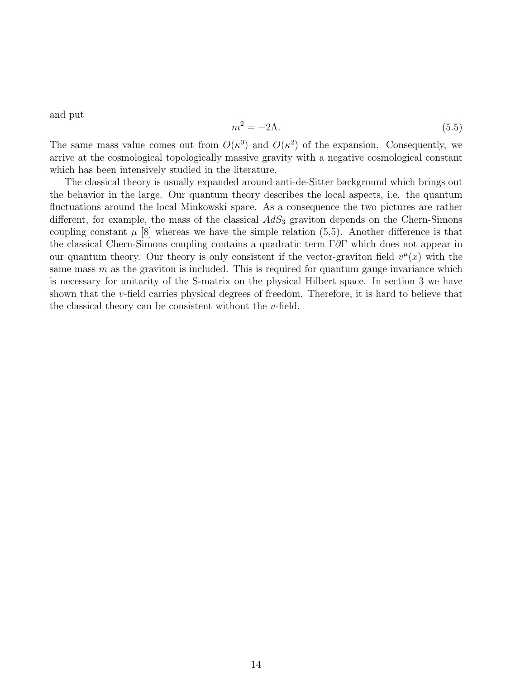and put

$$
m^2 = -2\Lambda. \tag{5.5}
$$

The same mass value comes out from  $O(\kappa^0)$  and  $O(\kappa^2)$  of the expansion. Consequently, we arrive at the cosmological topologically massive gravity with a negative cosmological constant which has been intensively studied in the literature.

The classical theory is usually expanded around anti-de-Sitter background which brings out the behavior in the large. Our quantum theory describes the local aspects, i.e. the quantum fluctuations around the local Minkowski space. As a consequence the two pictures are rather different, for example, the mass of the classical  $AdS_3$  graviton depends on the Chern-Simons coupling constant  $\mu$  [8] whereas we have the simple relation (5.5). Another difference is that the classical Chern-Simons coupling contains a quadratic term Γ∂Γ which does not appear in our quantum theory. Our theory is only consistent if the vector-graviton field  $v^{\mu}(x)$  with the same mass  $m$  as the graviton is included. This is required for quantum gauge invariance which is necessary for unitarity of the S-matrix on the physical Hilbert space. In section 3 we have shown that the v-field carries physical degrees of freedom. Therefore, it is hard to believe that the classical theory can be consistent without the v-field.